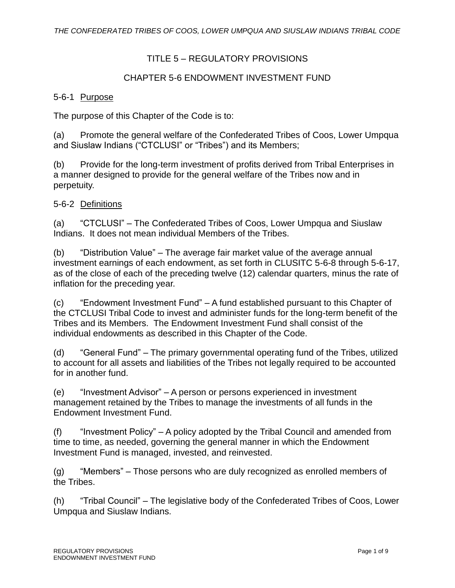# TITLE 5 – REGULATORY PROVISIONS

# CHAPTER 5-6 ENDOWMENT INVESTMENT FUND

#### 5-6-1 Purpose

The purpose of this Chapter of the Code is to:

(a) Promote the general welfare of the Confederated Tribes of Coos, Lower Umpqua and Siuslaw Indians ("CTCLUSI" or "Tribes") and its Members;

(b) Provide for the long-term investment of profits derived from Tribal Enterprises in a manner designed to provide for the general welfare of the Tribes now and in perpetuity.

#### 5-6-2 Definitions

(a) "CTCLUSI" – The Confederated Tribes of Coos, Lower Umpqua and Siuslaw Indians. It does not mean individual Members of the Tribes.

(b) "Distribution Value" – The average fair market value of the average annual investment earnings of each endowment, as set forth in CLUSITC 5-6-8 through 5-6-17, as of the close of each of the preceding twelve (12) calendar quarters, minus the rate of inflation for the preceding year.

(c) "Endowment Investment Fund" – A fund established pursuant to this Chapter of the CTCLUSI Tribal Code to invest and administer funds for the long-term benefit of the Tribes and its Members. The Endowment Investment Fund shall consist of the individual endowments as described in this Chapter of the Code.

(d) "General Fund" – The primary governmental operating fund of the Tribes, utilized to account for all assets and liabilities of the Tribes not legally required to be accounted for in another fund.

(e) "Investment Advisor" – A person or persons experienced in investment management retained by the Tribes to manage the investments of all funds in the Endowment Investment Fund.

(f) "Investment Policy" – A policy adopted by the Tribal Council and amended from time to time, as needed, governing the general manner in which the Endowment Investment Fund is managed, invested, and reinvested.

(g) "Members" – Those persons who are duly recognized as enrolled members of the Tribes.

(h) "Tribal Council" – The legislative body of the Confederated Tribes of Coos, Lower Umpqua and Siuslaw Indians.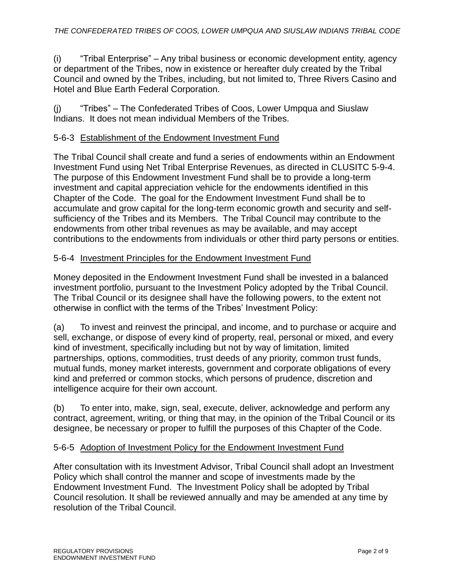(i) "Tribal Enterprise" – Any tribal business or economic development entity, agency or department of the Tribes, now in existence or hereafter duly created by the Tribal Council and owned by the Tribes, including, but not limited to, Three Rivers Casino and Hotel and Blue Earth Federal Corporation.

(j) "Tribes" – The Confederated Tribes of Coos, Lower Umpqua and Siuslaw Indians. It does not mean individual Members of the Tribes.

#### 5-6-3 Establishment of the Endowment Investment Fund

The Tribal Council shall create and fund a series of endowments within an Endowment Investment Fund using Net Tribal Enterprise Revenues, as directed in CLUSITC 5-9-4. The purpose of this Endowment Investment Fund shall be to provide a long-term investment and capital appreciation vehicle for the endowments identified in this Chapter of the Code. The goal for the Endowment Investment Fund shall be to accumulate and grow capital for the long-term economic growth and security and selfsufficiency of the Tribes and its Members. The Tribal Council may contribute to the endowments from other tribal revenues as may be available, and may accept contributions to the endowments from individuals or other third party persons or entities.

#### 5-6-4 Investment Principles for the Endowment Investment Fund

Money deposited in the Endowment Investment Fund shall be invested in a balanced investment portfolio, pursuant to the Investment Policy adopted by the Tribal Council. The Tribal Council or its designee shall have the following powers, to the extent not otherwise in conflict with the terms of the Tribes' Investment Policy:

(a) To invest and reinvest the principal, and income, and to purchase or acquire and sell, exchange, or dispose of every kind of property, real, personal or mixed, and every kind of investment, specifically including but not by way of limitation, limited partnerships, options, commodities, trust deeds of any priority, common trust funds, mutual funds, money market interests, government and corporate obligations of every kind and preferred or common stocks, which persons of prudence, discretion and intelligence acquire for their own account.

(b) To enter into, make, sign, seal, execute, deliver, acknowledge and perform any contract, agreement, writing, or thing that may, in the opinion of the Tribal Council or its designee, be necessary or proper to fulfill the purposes of this Chapter of the Code.

#### 5-6-5 Adoption of Investment Policy for the Endowment Investment Fund

After consultation with its Investment Advisor, Tribal Council shall adopt an Investment Policy which shall control the manner and scope of investments made by the Endowment Investment Fund. The Investment Policy shall be adopted by Tribal Council resolution. It shall be reviewed annually and may be amended at any time by resolution of the Tribal Council.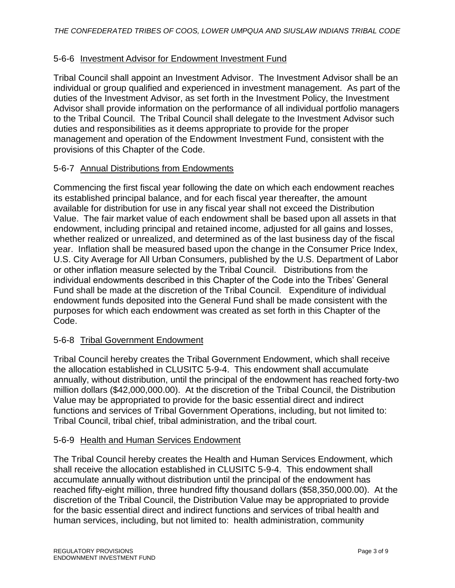# 5-6-6 Investment Advisor for Endowment Investment Fund

Tribal Council shall appoint an Investment Advisor. The Investment Advisor shall be an individual or group qualified and experienced in investment management. As part of the duties of the Investment Advisor, as set forth in the Investment Policy, the Investment Advisor shall provide information on the performance of all individual portfolio managers to the Tribal Council. The Tribal Council shall delegate to the Investment Advisor such duties and responsibilities as it deems appropriate to provide for the proper management and operation of the Endowment Investment Fund, consistent with the provisions of this Chapter of the Code.

## 5-6-7 Annual Distributions from Endowments

Commencing the first fiscal year following the date on which each endowment reaches its established principal balance, and for each fiscal year thereafter, the amount available for distribution for use in any fiscal year shall not exceed the Distribution Value. The fair market value of each endowment shall be based upon all assets in that endowment, including principal and retained income, adjusted for all gains and losses, whether realized or unrealized, and determined as of the last business day of the fiscal year. Inflation shall be measured based upon the change in the Consumer Price Index, U.S. City Average for All Urban Consumers, published by the U.S. Department of Labor or other inflation measure selected by the Tribal Council. Distributions from the individual endowments described in this Chapter of the Code into the Tribes' General Fund shall be made at the discretion of the Tribal Council. Expenditure of individual endowment funds deposited into the General Fund shall be made consistent with the purposes for which each endowment was created as set forth in this Chapter of the Code.

#### 5-6-8 Tribal Government Endowment

Tribal Council hereby creates the Tribal Government Endowment, which shall receive the allocation established in CLUSITC 5-9-4. This endowment shall accumulate annually, without distribution, until the principal of the endowment has reached forty-two million dollars (\$42,000,000.00). At the discretion of the Tribal Council, the Distribution Value may be appropriated to provide for the basic essential direct and indirect functions and services of Tribal Government Operations, including, but not limited to: Tribal Council, tribal chief, tribal administration, and the tribal court.

#### 5-6-9 Health and Human Services Endowment

The Tribal Council hereby creates the Health and Human Services Endowment, which shall receive the allocation established in CLUSITC 5-9-4. This endowment shall accumulate annually without distribution until the principal of the endowment has reached fifty-eight million, three hundred fifty thousand dollars (\$58,350,000.00). At the discretion of the Tribal Council, the Distribution Value may be appropriated to provide for the basic essential direct and indirect functions and services of tribal health and human services, including, but not limited to: health administration, community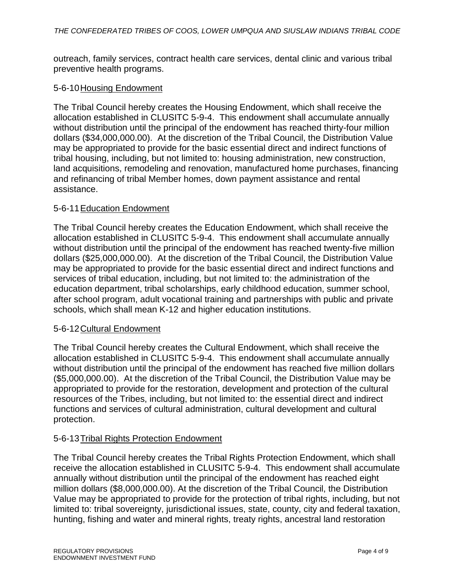outreach, family services, contract health care services, dental clinic and various tribal preventive health programs.

#### 5-6-10Housing Endowment

The Tribal Council hereby creates the Housing Endowment, which shall receive the allocation established in CLUSITC 5-9-4. This endowment shall accumulate annually without distribution until the principal of the endowment has reached thirty-four million dollars (\$34,000,000.00). At the discretion of the Tribal Council, the Distribution Value may be appropriated to provide for the basic essential direct and indirect functions of tribal housing, including, but not limited to: housing administration, new construction, land acquisitions, remodeling and renovation, manufactured home purchases, financing and refinancing of tribal Member homes, down payment assistance and rental assistance.

#### 5-6-11Education Endowment

The Tribal Council hereby creates the Education Endowment, which shall receive the allocation established in CLUSITC 5-9-4. This endowment shall accumulate annually without distribution until the principal of the endowment has reached twenty-five million dollars (\$25,000,000.00). At the discretion of the Tribal Council, the Distribution Value may be appropriated to provide for the basic essential direct and indirect functions and services of tribal education, including, but not limited to: the administration of the education department, tribal scholarships, early childhood education, summer school, after school program, adult vocational training and partnerships with public and private schools, which shall mean K-12 and higher education institutions.

#### 5-6-12Cultural Endowment

The Tribal Council hereby creates the Cultural Endowment, which shall receive the allocation established in CLUSITC 5-9-4. This endowment shall accumulate annually without distribution until the principal of the endowment has reached five million dollars (\$5,000,000.00). At the discretion of the Tribal Council, the Distribution Value may be appropriated to provide for the restoration, development and protection of the cultural resources of the Tribes, including, but not limited to: the essential direct and indirect functions and services of cultural administration, cultural development and cultural protection.

#### 5-6-13Tribal Rights Protection Endowment

The Tribal Council hereby creates the Tribal Rights Protection Endowment, which shall receive the allocation established in CLUSITC 5-9-4. This endowment shall accumulate annually without distribution until the principal of the endowment has reached eight million dollars (\$8,000,000.00). At the discretion of the Tribal Council, the Distribution Value may be appropriated to provide for the protection of tribal rights, including, but not limited to: tribal sovereignty, jurisdictional issues, state, county, city and federal taxation, hunting, fishing and water and mineral rights, treaty rights, ancestral land restoration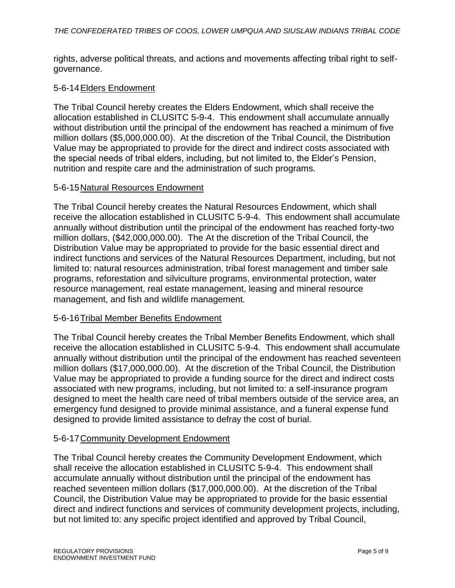rights, adverse political threats, and actions and movements affecting tribal right to selfgovernance.

#### 5-6-14Elders Endowment

The Tribal Council hereby creates the Elders Endowment, which shall receive the allocation established in CLUSITC 5-9-4. This endowment shall accumulate annually without distribution until the principal of the endowment has reached a minimum of five million dollars (\$5,000,000.00). At the discretion of the Tribal Council, the Distribution Value may be appropriated to provide for the direct and indirect costs associated with the special needs of tribal elders, including, but not limited to, the Elder's Pension, nutrition and respite care and the administration of such programs.

#### 5-6-15Natural Resources Endowment

The Tribal Council hereby creates the Natural Resources Endowment, which shall receive the allocation established in CLUSITC 5-9-4. This endowment shall accumulate annually without distribution until the principal of the endowment has reached forty-two million dollars, (\$42,000,000.00). The At the discretion of the Tribal Council, the Distribution Value may be appropriated to provide for the basic essential direct and indirect functions and services of the Natural Resources Department, including, but not limited to: natural resources administration, tribal forest management and timber sale programs, reforestation and silviculture programs, environmental protection, water resource management, real estate management, leasing and mineral resource management, and fish and wildlife management.

#### 5-6-16Tribal Member Benefits Endowment

The Tribal Council hereby creates the Tribal Member Benefits Endowment, which shall receive the allocation established in CLUSITC 5-9-4. This endowment shall accumulate annually without distribution until the principal of the endowment has reached seventeen million dollars (\$17,000,000.00). At the discretion of the Tribal Council, the Distribution Value may be appropriated to provide a funding source for the direct and indirect costs associated with new programs, including, but not limited to: a self-insurance program designed to meet the health care need of tribal members outside of the service area, an emergency fund designed to provide minimal assistance, and a funeral expense fund designed to provide limited assistance to defray the cost of burial.

#### 5-6-17Community Development Endowment

The Tribal Council hereby creates the Community Development Endowment, which shall receive the allocation established in CLUSITC 5-9-4. This endowment shall accumulate annually without distribution until the principal of the endowment has reached seventeen million dollars (\$17,000,000.00). At the discretion of the Tribal Council, the Distribution Value may be appropriated to provide for the basic essential direct and indirect functions and services of community development projects, including, but not limited to: any specific project identified and approved by Tribal Council,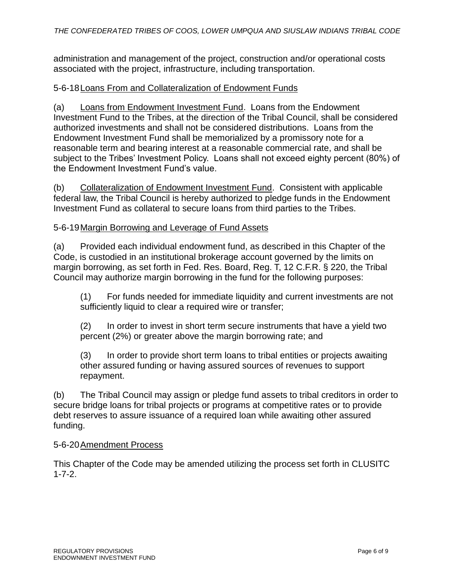administration and management of the project, construction and/or operational costs associated with the project, infrastructure, including transportation.

#### 5-6-18Loans From and Collateralization of Endowment Funds

(a) Loans from Endowment Investment Fund. Loans from the Endowment Investment Fund to the Tribes, at the direction of the Tribal Council, shall be considered authorized investments and shall not be considered distributions. Loans from the Endowment Investment Fund shall be memorialized by a promissory note for a reasonable term and bearing interest at a reasonable commercial rate, and shall be subject to the Tribes' Investment Policy. Loans shall not exceed eighty percent (80%) of the Endowment Investment Fund's value.

(b) Collateralization of Endowment Investment Fund. Consistent with applicable federal law, the Tribal Council is hereby authorized to pledge funds in the Endowment Investment Fund as collateral to secure loans from third parties to the Tribes.

#### 5-6-19Margin Borrowing and Leverage of Fund Assets

(a) Provided each individual endowment fund, as described in this Chapter of the Code, is custodied in an institutional brokerage account governed by the limits on margin borrowing, as set forth in Fed. Res. Board, Reg. T, 12 C.F.R. § 220, the Tribal Council may authorize margin borrowing in the fund for the following purposes:

(1) For funds needed for immediate liquidity and current investments are not sufficiently liquid to clear a required wire or transfer;

(2) In order to invest in short term secure instruments that have a yield two percent (2%) or greater above the margin borrowing rate; and

(3) In order to provide short term loans to tribal entities or projects awaiting other assured funding or having assured sources of revenues to support repayment.

(b) The Tribal Council may assign or pledge fund assets to tribal creditors in order to secure bridge loans for tribal projects or programs at competitive rates or to provide debt reserves to assure issuance of a required loan while awaiting other assured funding.

#### 5-6-20Amendment Process

This Chapter of the Code may be amended utilizing the process set forth in CLUSITC 1-7-2.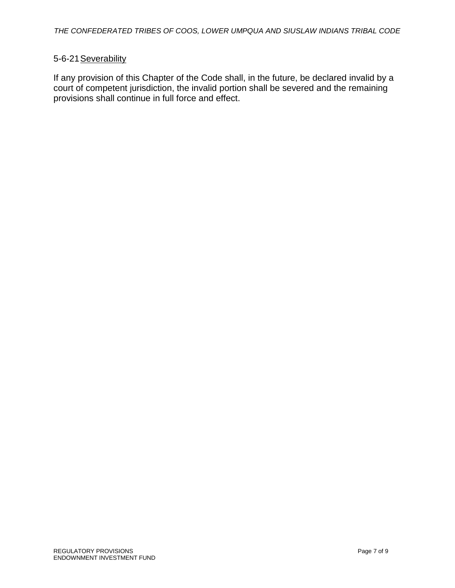# 5-6-21 Severability

If any provision of this Chapter of the Code shall, in the future, be declared invalid by a court of competent jurisdiction, the invalid portion shall be severed and the remaining provisions shall continue in full force and effect.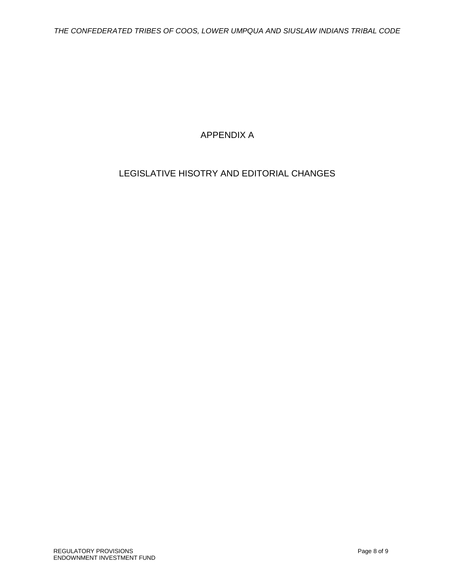# APPENDIX A

# LEGISLATIVE HISOTRY AND EDITORIAL CHANGES